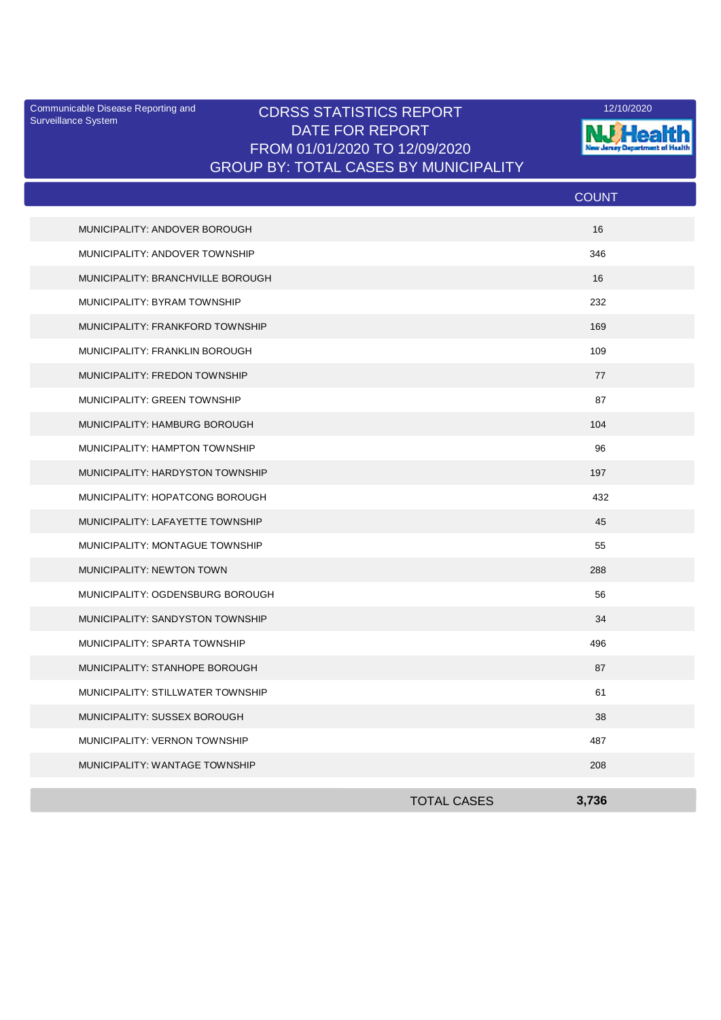Surveillance System

## Communicable Disease Reporting and **CDRSS STATISTICS REPORT** 12/10/2020<br>Surveillance Statem DATE FOR REPORT FROM 01/01/2020 TO 12/09/2020 GROUP BY: TOTAL CASES BY MUNICIPALITY



| MUNICIPALITY: ANDOVER BOROUGH<br>16     |  |
|-----------------------------------------|--|
|                                         |  |
| 346<br>MUNICIPALITY: ANDOVER TOWNSHIP   |  |
| MUNICIPALITY: BRANCHVILLE BOROUGH<br>16 |  |
| 232<br>MUNICIPALITY: BYRAM TOWNSHIP     |  |
| 169<br>MUNICIPALITY: FRANKFORD TOWNSHIP |  |
| MUNICIPALITY: FRANKLIN BOROUGH<br>109   |  |
| MUNICIPALITY: FREDON TOWNSHIP<br>77     |  |
| 87<br>MUNICIPALITY: GREEN TOWNSHIP      |  |
| MUNICIPALITY: HAMBURG BOROUGH<br>104    |  |
| MUNICIPALITY: HAMPTON TOWNSHIP<br>96    |  |
| MUNICIPALITY: HARDYSTON TOWNSHIP<br>197 |  |
| MUNICIPALITY: HOPATCONG BOROUGH<br>432  |  |
| MUNICIPALITY: LAFAYETTE TOWNSHIP<br>45  |  |
| MUNICIPALITY: MONTAGUE TOWNSHIP<br>55   |  |
| MUNICIPALITY: NEWTON TOWN<br>288        |  |
| MUNICIPALITY: OGDENSBURG BOROUGH<br>56  |  |
| MUNICIPALITY: SANDYSTON TOWNSHIP<br>34  |  |
| MUNICIPALITY: SPARTA TOWNSHIP<br>496    |  |
| MUNICIPALITY: STANHOPE BOROUGH<br>87    |  |
| 61<br>MUNICIPALITY: STILLWATER TOWNSHIP |  |
| MUNICIPALITY: SUSSEX BOROUGH<br>38      |  |
| 487<br>MUNICIPALITY: VERNON TOWNSHIP    |  |
| 208<br>MUNICIPALITY: WANTAGE TOWNSHIP   |  |
| <b>TOTAL CASES</b><br>3,736             |  |